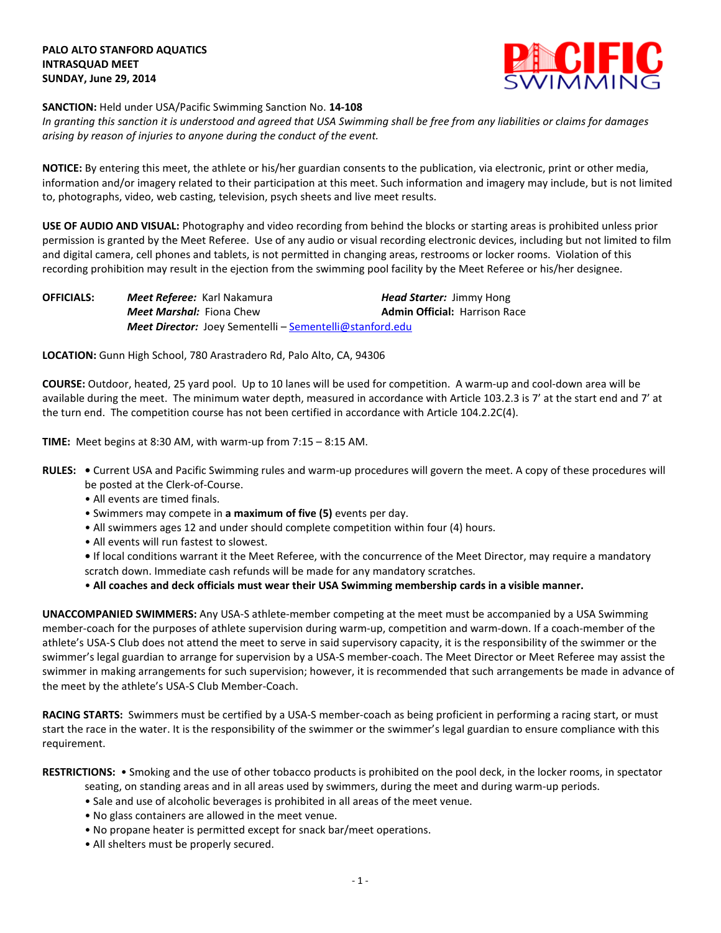

## **SANCTION:** Held under USA/Pacific Swimming Sanction No. **14-108**

*In granting this sanction it is understood and agreed that USA Swimming shall be free from any liabilities or claims for damages arising by reason of injuries to anyone during the conduct of the event.*

**NOTICE:** By entering this meet, the athlete or his/her guardian consents to the publication, via electronic, print or other media, information and/or imagery related to their participation at this meet. Such information and imagery may include, but is not limited to, photographs, video, web casting, television, psych sheets and live meet results.

**USE OF AUDIO AND VISUAL:** Photography and video recording from behind the blocks or starting areas is prohibited unless prior permission is granted by the Meet Referee. Use of any audio or visual recording electronic devices, including but not limited to film and digital camera, cell phones and tablets, is not permitted in changing areas, restrooms or locker rooms. Violation of this recording prohibition may result in the ejection from the swimming pool facility by the Meet Referee or his/her designee.

**OFFICIALS:** *Meet Referee:* Karl Nakamura *Head Starter:* Jimmy Hong *Meet Marshal:* Fiona Chew **Admin Official:** Harrison Race *Meet Director:* Joey Sementelli – [Sementelli@stanford.edu](mailto:Sementelli@stanford.edu) 

**LOCATION:** Gunn High School, 780 Arastradero Rd, Palo Alto, CA, 94306

**COURSE:** Outdoor, heated, 25 yard pool.Up to 10 lanes will be used for competition. A warm-up and cool-down area will be available during the meet. The minimum water depth, measured in accordance with Article 103.2.3 is 7' at the start end and 7' at the turn end. The competition course has not been certified in accordance with Article 104.2.2C(4).

**TIME:** Meet begins at 8:30 AM, with warm-up from 7:15 – 8:15 AM.

- **RULES:** Current USA and Pacific Swimming rules and warm-up procedures will govern the meet. A copy of these procedures will be posted at the Clerk-of-Course.
	- All events are timed finals.
	- Swimmers may compete in **a maximum of five (5)** events per day.
	- All swimmers ages 12 and under should complete competition within four (4) hours.
	- All events will run fastest to slowest.
	- If local conditions warrant it the Meet Referee, with the concurrence of the Meet Director, may require a mandatory scratch down. Immediate cash refunds will be made for any mandatory scratches.

• **All coaches and deck officials must wear their USA Swimming membership cards in a visible manner.** 

**UNACCOMPANIED SWIMMERS:** Any USA-S athlete-member competing at the meet must be accompanied by a USA Swimming member-coach for the purposes of athlete supervision during warm-up, competition and warm-down. If a coach-member of the athlete's USA-S Club does not attend the meet to serve in said supervisory capacity, it is the responsibility of the swimmer or the swimmer's legal guardian to arrange for supervision by a USA-S member-coach. The Meet Director or Meet Referee may assist the swimmer in making arrangements for such supervision; however, it is recommended that such arrangements be made in advance of the meet by the athlete's USA-S Club Member-Coach.

**RACING STARTS:** Swimmers must be certified by a USA-S member-coach as being proficient in performing a racing start, or must start the race in the water. It is the responsibility of the swimmer or the swimmer's legal guardian to ensure compliance with this requirement.

**RESTRICTIONS:** • Smoking and the use of other tobacco products is prohibited on the pool deck, in the locker rooms, in spectator

seating, on standing areas and in all areas used by swimmers, during the meet and during warm-up periods.

- Sale and use of alcoholic beverages is prohibited in all areas of the meet venue.
- No glass containers are allowed in the meet venue.
- No propane heater is permitted except for snack bar/meet operations.
- All shelters must be properly secured.